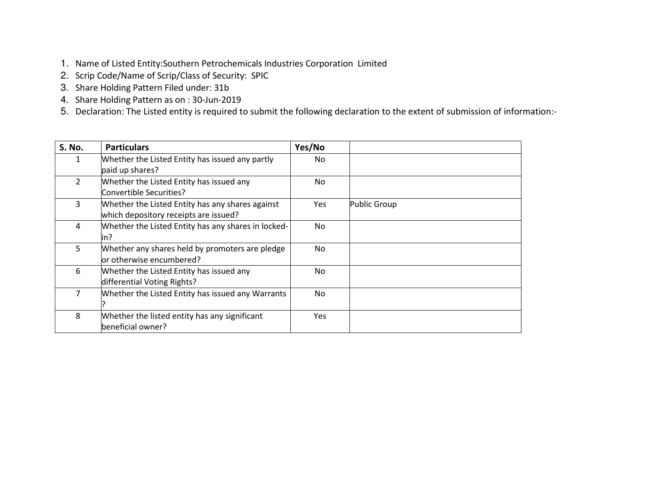- 1. Name of Listed Entity:Southern Petrochemicals Industries Corporation Limited
- 2. Scrip Code/Name of Scrip/Class of Security: SPIC
- 3. Share Holding Pattern Filed under: 31b
- 4. Share Holding Pattern as on : 30-Jun-2019
- 5. Declaration: The Listed entity is required to submit the following declaration to the extent of submission of information:-

| S. No.         | <b>Particulars</b>                                                                        | Yes/No     |              |
|----------------|-------------------------------------------------------------------------------------------|------------|--------------|
| 1.             | Whether the Listed Entity has issued any partly<br>paid up shares?                        | No.        |              |
| $\overline{2}$ | Whether the Listed Entity has issued any<br>Convertible Securities?                       | No.        |              |
| 3              | Whether the Listed Entity has any shares against<br>which depository receipts are issued? | <b>Yes</b> | Public Group |
| 4              | Whether the Listed Entity has any shares in locked-<br>in?                                | No         |              |
| 5.             | Whether any shares held by promoters are pledge<br>or otherwise encumbered?               | No.        |              |
| 6              | Whether the Listed Entity has issued any<br>differential Voting Rights?                   | No.        |              |
| 7              | Whether the Listed Entity has issued any Warrants                                         | No.        |              |
| 8              | Whether the listed entity has any significant<br>beneficial owner?                        | <b>Yes</b> |              |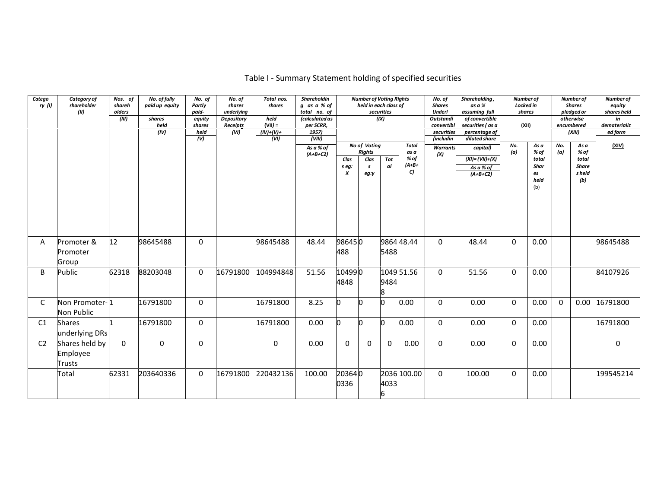| Catego<br>ry(1) | Category of<br>shareholder<br>(II)          | Nos. of<br>shareh<br>olders<br>(III) | No. of fully<br>paid up equity<br>shares<br>held<br>(IV) | No. of<br>Partly<br>paid-<br>equity<br>shares<br>held<br>(V) | No. of<br>shares<br>underlying<br><b>Depository</b><br>Receipts<br>(VI) | Total nos.<br>shares<br>held<br>$(VII) =$<br>$(IV)+(V)+$<br>(VI) | Shareholdin<br>g as a % of<br>total no. of<br>(calculated as<br>per SCRR,<br>1957<br>(VIII)<br>As a % of<br>$(A+B+C2)$ | Clas<br>s eg:<br>$\pmb{\chi}$ | <b>Number of Voting Rights</b><br>held in each class of<br>No of Voting<br><b>Rights</b><br>Clas<br>s<br>eg:y | securities<br>(IX)<br>Tot<br>al | <b>Total</b><br>as a<br>% of<br>$(A+B+$<br>C) | No. of<br><b>Shares</b><br><b>Underl</b><br>Outstandi<br>convertib<br>securities<br>(includin<br><b>Warrants</b><br>$\overline{(\mathsf{x})}$ | Shareholding,<br>as a %<br>assuming full<br>of convertible<br>securities (as a<br>percentage of<br>diluted share<br>capital)<br>$(XI) = (VII)+(X)$<br>As a % of<br>$(A+B+C2)$ | Number of<br>Locked in<br>shares<br><u>(XII)</u><br>No.<br>(a) | As a<br>% of<br>total<br>Shar<br>es<br>held<br>(b) | No.<br>(a) | Number of<br><b>Shares</b><br>pledged or<br>otherwise<br>encumbered<br>(XIII)<br>As a<br>% of<br>total<br><b>Share</b><br>s held<br>(b) | Number of<br>equity<br>shares held<br>in<br>dematerializ<br>ed form<br>(XIV) |
|-----------------|---------------------------------------------|--------------------------------------|----------------------------------------------------------|--------------------------------------------------------------|-------------------------------------------------------------------------|------------------------------------------------------------------|------------------------------------------------------------------------------------------------------------------------|-------------------------------|---------------------------------------------------------------------------------------------------------------|---------------------------------|-----------------------------------------------|-----------------------------------------------------------------------------------------------------------------------------------------------|-------------------------------------------------------------------------------------------------------------------------------------------------------------------------------|----------------------------------------------------------------|----------------------------------------------------|------------|-----------------------------------------------------------------------------------------------------------------------------------------|------------------------------------------------------------------------------|
| A               | Promoter &<br>Promoter<br>Group             | 12                                   | 98645488                                                 | $\mathbf{0}$                                                 |                                                                         | 98645488                                                         | 48.44                                                                                                                  | 986450<br>488                 |                                                                                                               | 5488                            | 9864 48.44                                    | $\mathbf{0}$                                                                                                                                  | 48.44                                                                                                                                                                         | $\Omega$                                                       | 0.00                                               |            |                                                                                                                                         | 98645488                                                                     |
| B               | Public                                      | 62318                                | 88203048                                                 | $\mathbf 0$                                                  | 16791800                                                                | 104994848                                                        | 51.56                                                                                                                  | 104990<br>4848                |                                                                                                               | 9484<br>8                       | 1049 51.56                                    | $\mathbf{0}$                                                                                                                                  | 51.56                                                                                                                                                                         | $\Omega$                                                       | 0.00                                               |            |                                                                                                                                         | 84107926                                                                     |
| C               | Non Promoter-1<br>Non Public                |                                      | 16791800                                                 | 0                                                            |                                                                         | 16791800                                                         | 8.25                                                                                                                   |                               | IO                                                                                                            | l0                              | 0.00                                          | $\mathbf 0$                                                                                                                                   | 0.00                                                                                                                                                                          | $\Omega$                                                       | 0.00                                               | 0          |                                                                                                                                         | 0.00 16791800                                                                |
| C1              | <b>Shares</b><br>underlying DRs             |                                      | 16791800                                                 | $\Omega$                                                     |                                                                         | 16791800                                                         | 0.00                                                                                                                   | n                             | n                                                                                                             | l0                              | 0.00                                          | $\mathbf 0$                                                                                                                                   | 0.00                                                                                                                                                                          | $\Omega$                                                       | 0.00                                               |            |                                                                                                                                         | 16791800                                                                     |
| C <sub>2</sub>  | Shares held by<br>Employee<br><b>Trusts</b> | $\Omega$                             | 0                                                        | $\Omega$                                                     |                                                                         | $\mathbf 0$                                                      | 0.00                                                                                                                   | $\Omega$                      | $\Omega$                                                                                                      | $\mathbf 0$                     | 0.00                                          | $\mathbf 0$                                                                                                                                   | 0.00                                                                                                                                                                          | $\mathbf 0$                                                    | 0.00                                               |            |                                                                                                                                         | 0                                                                            |
|                 | Total                                       | 62331                                | 203640336                                                | 0                                                            | 16791800                                                                | 220432136                                                        | 100.00                                                                                                                 | 203640<br>0336                |                                                                                                               | 4033<br>6                       | 2036 100.00                                   | $\mathbf 0$                                                                                                                                   | 100.00                                                                                                                                                                        | $\mathbf 0$                                                    | 0.00                                               |            |                                                                                                                                         | 199545214                                                                    |

#### Table I - Summary Statement holding of specified securities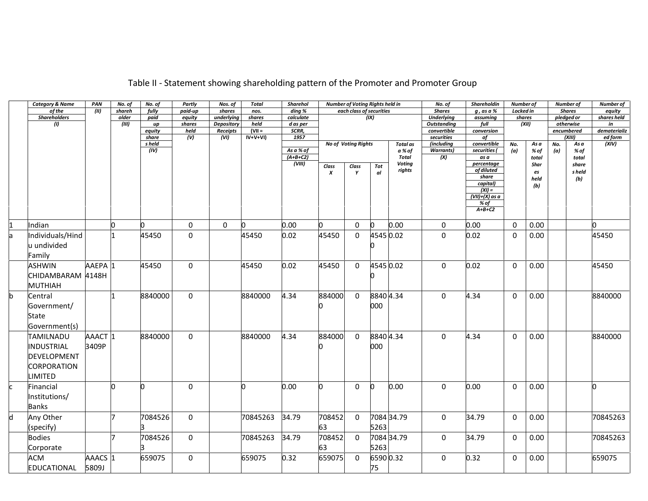|  | Table II - Statement showing shareholding pattern of the Promoter and Promoter Group |  |
|--|--------------------------------------------------------------------------------------|--|
|--|--------------------------------------------------------------------------------------|--|

|               | <b>Category &amp; Name</b> | PAN                | No. of | No. of          | Partly                      | Nos. of           | <b>Total</b>           | <b>Sharehol</b>        |        | Number of Voting Rights held in |           |               | No. of                    | Shareholdin       | Number of   |       |            | Number of     | Number of               |
|---------------|----------------------------|--------------------|--------|-----------------|-----------------------------|-------------------|------------------------|------------------------|--------|---------------------------------|-----------|---------------|---------------------------|-------------------|-------------|-------|------------|---------------|-------------------------|
|               | of the                     | (II)               | shareh | fully           | paid-up                     | shares            | nos.                   | ding %                 |        | each class of securities        |           |               | <b>Shares</b>             | $g$ , as a $%$    | Locked in   |       |            | <b>Shares</b> | equity                  |
|               | <b>Shareholders</b>        |                    | older  | paid            | equity                      | underlying        | shares                 | calculate              |        |                                 | (IX)      |               | <b>Underlying</b>         | assuming          | shares      |       |            | pledged or    | shares held             |
|               | (1)                        |                    | (III)  | up              | shares                      | <b>Depository</b> | held                   | d as per               |        |                                 |           |               | <b>Outstanding</b>        | full              | (XII)       |       |            | otherwise     | in                      |
|               |                            |                    |        | equity<br>share | held<br>$\overline{(\vee)}$ | Receipts<br>(VI)  | $(VII =$<br>$IV+V+VI)$ | SCRR,<br>1957          |        |                                 |           |               | convertible<br>securities | conversion<br>of  |             |       | encumbered | (XIII)        | dematerializ<br>ed form |
|               |                            |                    |        | s held          |                             |                   |                        |                        |        | No of Voting Rights             |           | Total as      | (including                | convertible       | No.         | As a  | No.        | As a          | (XIV)                   |
|               |                            |                    |        | (IV)            |                             |                   |                        | $\overline{As} a % of$ |        |                                 |           | a % of        | <b>Warrants</b> )         | securities (      | (a)         | % of  | (a)        | % of          |                         |
|               |                            |                    |        |                 |                             |                   |                        | $(A+B+C2)$             |        |                                 |           | <b>Total</b>  | (X)                       | as a              |             | total |            | total         |                         |
|               |                            |                    |        |                 |                             |                   |                        | (VIII)                 | Class  | Class                           | Tot       | <b>Voting</b> |                           | percentage        |             | Shar  |            | share         |                         |
|               |                            |                    |        |                 |                             |                   |                        |                        | X      | Y                               | al        | rights        |                           | of diluted        |             | es    |            | s held        |                         |
|               |                            |                    |        |                 |                             |                   |                        |                        |        |                                 |           |               |                           | share<br>capital) |             | held  |            | (b)           |                         |
|               |                            |                    |        |                 |                             |                   |                        |                        |        |                                 |           |               |                           | $(XI) =$          |             | (b)   |            |               |                         |
|               |                            |                    |        |                 |                             |                   |                        |                        |        |                                 |           |               |                           | $(VII)+(X)$ as a  |             |       |            |               |                         |
|               |                            |                    |        |                 |                             |                   |                        |                        |        |                                 |           |               |                           | % of              |             |       |            |               |                         |
|               |                            |                    |        |                 |                             |                   |                        |                        |        |                                 |           |               |                           | $A+B+C2$          |             |       |            |               |                         |
|               |                            |                    |        |                 |                             |                   |                        |                        |        |                                 |           |               |                           |                   |             |       |            |               |                         |
| $\frac{1}{a}$ | Indian                     |                    | b      | 0               | 0                           | $\pmb{0}$         | n                      | 0.00                   | n      | $\mathbf 0$                     | O.        | 0.00          | $\mathsf{O}\xspace$       | 0.00              | $\mathbf 0$ | 0.00  |            |               | n                       |
|               | Individuals/Hind           |                    |        | 45450           | 0                           |                   | 45450                  | 0.02                   | 45450  | $\Omega$                        | 4545 0.02 |               | $\mathbf 0$               | 0.02              | $\Omega$    | 0.00  |            |               | 45450                   |
|               | u undivided                |                    |        |                 |                             |                   |                        |                        |        |                                 |           |               |                           |                   |             |       |            |               |                         |
|               | Family                     |                    |        |                 |                             |                   |                        |                        |        |                                 |           |               |                           |                   |             |       |            |               |                         |
|               | <b>ASHWIN</b>              | AAEPA 1            |        | 45450           | $\mathbf 0$                 |                   | 45450                  | 0.02                   | 45450  | $\mathbf 0$                     | 4545 0.02 |               | $\mathbf 0$               | 0.02              | $\mathbf 0$ | 0.00  |            |               | 45450                   |
|               |                            |                    |        |                 |                             |                   |                        |                        |        |                                 |           |               |                           |                   |             |       |            |               |                         |
|               | CHIDAMBARAM 4148H          |                    |        |                 |                             |                   |                        |                        |        |                                 |           |               |                           |                   |             |       |            |               |                         |
|               | <b>MUTHIAH</b>             |                    |        |                 |                             |                   |                        |                        |        |                                 |           |               |                           |                   |             |       |            |               |                         |
| b             | Central                    |                    |        | 8840000         | 0                           |                   | 8840000                | 4.34                   | 884000 | 0                               | 8840 4.34 |               | $\mathbf 0$               | 4.34              | $\mathbf 0$ | 0.00  |            |               | 8840000                 |
|               | Government/                |                    |        |                 |                             |                   |                        |                        |        |                                 | 000       |               |                           |                   |             |       |            |               |                         |
|               | State                      |                    |        |                 |                             |                   |                        |                        |        |                                 |           |               |                           |                   |             |       |            |               |                         |
|               |                            |                    |        |                 |                             |                   |                        |                        |        |                                 |           |               |                           |                   |             |       |            |               |                         |
|               | Government(s)              |                    |        |                 |                             |                   |                        |                        |        |                                 |           |               |                           |                   |             |       |            |               |                         |
|               | <b>TAMILNADU</b>           | AAACT <sub>1</sub> |        | 8840000         | $\mathbf 0$                 |                   | 8840000                | 4.34                   | 884000 | $\mathbf 0$                     | 8840 4.34 |               | $\mathbf 0$               | 4.34              | 0           | 0.00  |            |               | 8840000                 |
|               | <b>INDUSTRIAL</b>          | 3409P              |        |                 |                             |                   |                        |                        |        |                                 | 000       |               |                           |                   |             |       |            |               |                         |
|               | <b>DEVELOPMENT</b>         |                    |        |                 |                             |                   |                        |                        |        |                                 |           |               |                           |                   |             |       |            |               |                         |
|               |                            |                    |        |                 |                             |                   |                        |                        |        |                                 |           |               |                           |                   |             |       |            |               |                         |
|               | CORPORATION                |                    |        |                 |                             |                   |                        |                        |        |                                 |           |               |                           |                   |             |       |            |               |                         |
|               | <b>LIMITED</b>             |                    |        |                 |                             |                   |                        |                        |        |                                 |           |               |                           |                   |             |       |            |               |                         |
| $\mathsf{c}$  | Financial                  |                    | h      | n               | 0                           |                   |                        | 0.00                   | n      | $\Omega$                        | $\bf{0}$  | 0.00          | $\mathbf 0$               | 0.00              | $\mathbf 0$ | 0.00  |            |               | n.                      |
|               | Institutions/              |                    |        |                 |                             |                   |                        |                        |        |                                 |           |               |                           |                   |             |       |            |               |                         |
|               | <b>Banks</b>               |                    |        |                 |                             |                   |                        |                        |        |                                 |           |               |                           |                   |             |       |            |               |                         |
|               |                            |                    |        |                 |                             |                   |                        |                        |        |                                 |           |               |                           |                   |             |       |            |               |                         |
| $\mathsf{d}$  | Any Other                  |                    |        | 7084526         | 0                           |                   | 70845263               | 34.79                  | 708452 | $\mathbf 0$                     |           | 7084 34.79    | $\mathbf 0$               | 34.79             | $\pmb{0}$   | 0.00  |            |               | 70845263                |
|               | (specify)                  |                    |        |                 |                             |                   |                        |                        | 63     |                                 | 5263      |               |                           |                   |             |       |            |               |                         |
|               | <b>Bodies</b>              |                    |        | 7084526         | 0                           |                   | 70845263               | 34.79                  | 708452 | $\mathbf 0$                     |           | 7084 34.79    | $\mathbf 0$               | 34.79             | $\mathbf 0$ | 0.00  |            |               | 70845263                |
|               | Corporate                  |                    |        |                 |                             |                   |                        |                        | 63     |                                 | 5263      |               |                           |                   |             |       |            |               |                         |
|               | <b>ACM</b>                 | AAACS 1            |        | 659075          | $\mathbf 0$                 |                   | 659075                 | 0.32                   | 659075 | $\mathbf 0$                     | 6590 0.32 |               | 0                         | 0.32              | 0           | 0.00  |            |               | 659075                  |
|               | EDUCATIONAL                | 5809J              |        |                 |                             |                   |                        |                        |        |                                 | 75        |               |                           |                   |             |       |            |               |                         |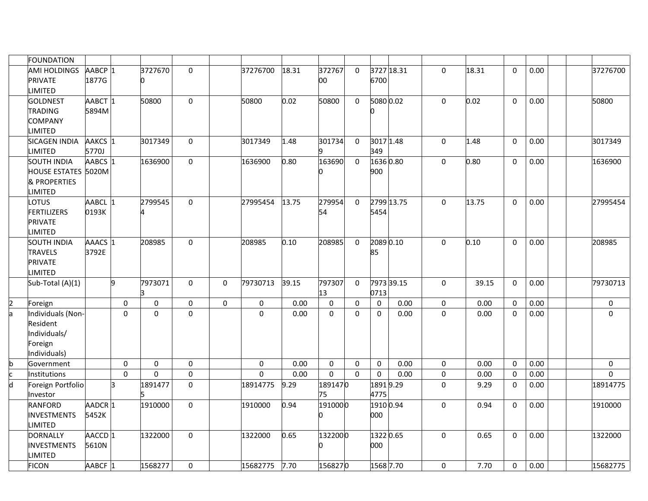|                | <b>FOUNDATION</b>    |                    |                |             |              |              |                     |       |                  |                  |                  |            |                     |       |              |      |                     |
|----------------|----------------------|--------------------|----------------|-------------|--------------|--------------|---------------------|-------|------------------|------------------|------------------|------------|---------------------|-------|--------------|------|---------------------|
|                | <b>AMI HOLDINGS</b>  | AABCP 1            |                | 3727670     | $\Omega$     |              | 37276700            | 18.31 | 372767           | 0                |                  | 3727 18.31 | $\Omega$            | 18.31 | $\Omega$     | 0.00 | 37276700            |
|                | PRIVATE              | 1877G              |                | n           |              |              |                     |       | 00               |                  | 6700             |            |                     |       |              |      |                     |
|                | <b>LIMITED</b>       |                    |                |             |              |              |                     |       |                  |                  |                  |            |                     |       |              |      |                     |
|                | <b>GOLDNEST</b>      | AABCT 1            |                | 50800       | $\mathbf 0$  |              | 50800               | 0.02  | 50800            | $\Omega$         | 5080 0.02        |            | $\mathbf 0$         | 0.02  | $\Omega$     | 0.00 | 50800               |
|                | TRADING              | 5894M              |                |             |              |              |                     |       |                  |                  |                  |            |                     |       |              |      |                     |
|                | <b>COMPANY</b>       |                    |                |             |              |              |                     |       |                  |                  |                  |            |                     |       |              |      |                     |
|                | <b>LIMITED</b>       |                    |                |             |              |              |                     |       |                  |                  |                  |            |                     |       |              |      |                     |
|                | <b>SICAGEN INDIA</b> | AAKCS 1            |                | 3017349     | $\mathbf{0}$ |              | 3017349             | 1.48  | 301734           | 0                | 30171.48         |            | $\mathbf{0}$        | 1.48  | $\mathbf{0}$ | 0.00 | 3017349             |
|                | LIMITED              | 5770J              |                |             |              |              |                     |       |                  |                  | 349              |            |                     |       |              |      |                     |
|                | <b>SOUTH INDIA</b>   | AABCS 1            |                | 1636900     | $\mathbf 0$  |              | 1636900             | 0.80  | 163690           | $\Omega$         | 1636 0.80        |            | $\mathbf 0$         | 0.80  | $\Omega$     | 0.00 | 1636900             |
|                | HOUSE ESTATES 5020M  |                    |                |             |              |              |                     |       |                  |                  | 900              |            |                     |       |              |      |                     |
|                | & PROPERTIES         |                    |                |             |              |              |                     |       |                  |                  |                  |            |                     |       |              |      |                     |
|                | LIMITED              |                    |                |             |              |              |                     |       |                  |                  |                  |            |                     |       |              |      |                     |
|                | <b>LOTUS</b>         | AABCL              |                | 2799545     | $\Omega$     |              | 27995454            | 13.75 | 279954           | $\Omega$         |                  | 2799 13.75 | $\mathbf 0$         | 13.75 | $\mathbf 0$  | 0.00 | 27995454            |
|                | FERTILIZERS          | 0193K              |                |             |              |              |                     |       | 54               |                  | 5454             |            |                     |       |              |      |                     |
|                | PRIVATE              |                    |                |             |              |              |                     |       |                  |                  |                  |            |                     |       |              |      |                     |
|                | LIMITED              |                    |                |             |              |              |                     |       |                  |                  |                  |            |                     |       |              |      |                     |
|                | <b>SOUTH INDIA</b>   | AAACS 1            |                | 208985      | $\mathbf 0$  |              | 208985              | 0.10  | 208985           | $\mathbf 0$      | 2089 0.10        |            | $\mathbf 0$         | 0.10  | $\mathbf{0}$ | 0.00 | 208985              |
|                | TRAVELS              | 3792E              |                |             |              |              |                     |       |                  |                  | 85               |            |                     |       |              |      |                     |
|                | PRIVATE              |                    |                |             |              |              |                     |       |                  |                  |                  |            |                     |       |              |      |                     |
|                | LIMITED              |                    |                |             |              |              |                     |       |                  |                  |                  |            |                     |       |              |      |                     |
|                | Sub-Total (A)(1)     |                    | b,             | 7973071     | $\mathbf 0$  | $\mathbf{0}$ | 79730713            | 39.15 | 797307           | $\mathbf 0$      |                  | 7973 39.15 | $\mathbf 0$         | 39.15 | $\mathbf 0$  | 0.00 | 79730713            |
|                |                      |                    |                |             |              |              |                     |       | 13               |                  | 0713             |            |                     |       |              |      |                     |
| $\overline{2}$ | Foreign              |                    | $\mathbf 0$    | $\pmb{0}$   | $\pmb{0}$    | $\mathbf 0$  | $\mathsf{O}\xspace$ | 0.00  | $\mathbf 0$      | $\mathbf 0$      | $\mathbf 0$      | 0.00       | $\mathsf{O}\xspace$ | 0.00  | $\mathbf 0$  | 0.00 | $\mathsf{O}\xspace$ |
| $\overline{a}$ | Individuals (Non-    |                    | $\overline{0}$ | $\mathbf 0$ | $\mathbf 0$  |              | $\mathbf 0$         | 0.00  | $\mathbf 0$      | 0                | $\mathbf 0$      | 0.00       | $\mathbf 0$         | 0.00  | $\mathbf 0$  | 0.00 | $\mathbf 0$         |
|                | Resident             |                    |                |             |              |              |                     |       |                  |                  |                  |            |                     |       |              |      |                     |
|                | Individuals/         |                    |                |             |              |              |                     |       |                  |                  |                  |            |                     |       |              |      |                     |
|                | Foreign              |                    |                |             |              |              |                     |       |                  |                  |                  |            |                     |       |              |      |                     |
|                | Individuals)         |                    |                |             |              |              |                     |       |                  |                  |                  |            |                     |       |              |      |                     |
| $\mathsf b$    | Government           |                    | 0              | $\pmb{0}$   | $\pmb{0}$    |              | $\boldsymbol{0}$    | 0.00  | $\boldsymbol{0}$ | $\boldsymbol{0}$ | $\boldsymbol{0}$ | 0.00       | $\mathbf 0$         | 0.00  | $\mathbf 0$  | 0.00 | $\pmb{0}$           |
| c              | Institutions         |                    | $\mathbf 0$    | $\mathbf 0$ | 0            |              | $\mathbf 0$         | 0.00  | $\mathbf 0$      | $\mathbf 0$      | $\mathbf 0$      | 0.00       | $\pmb{0}$           | 0.00  | $\mathbf 0$  | 0.00 | $\mathbf 0$         |
| d              | Foreign Portfolio    |                    | B.             | 1891477     | $\mathbf 0$  |              | 18914775            | 9.29  | 1891470          |                  | 18919.29         |            | $\mathbf 0$         | 9.29  | $\mathbf 0$  | 0.00 | 18914775            |
|                | Investor             |                    |                |             |              |              |                     |       | 75               |                  | 4775             |            |                     |       |              |      |                     |
|                | RANFORD              | AADCR <sub>1</sub> |                | 1910000     | $\mathbf 0$  |              | 1910000             | 0.94  | 1910000          |                  | 1910 0.94        |            | $\mathbf 0$         | 0.94  | 0            | 0.00 | 1910000             |
|                | <b>INVESTMENTS</b>   | 5452K              |                |             |              |              |                     |       |                  |                  | 000              |            |                     |       |              |      |                     |
|                | <b>LIMITED</b>       |                    |                |             |              |              |                     |       |                  |                  |                  |            |                     |       |              |      |                     |
|                | <b>DORNALLY</b>      | AACCD 1            |                | 1322000     | $\mathbf 0$  |              | 1322000             | 0.65  | 1322000          |                  | 1322 0.65        |            | $\mathbf 0$         | 0.65  | $\mathbf 0$  | 0.00 | 1322000             |
|                | <b>INVESTMENTS</b>   | 5610N              |                |             |              |              |                     |       |                  |                  | 000              |            |                     |       |              |      |                     |
|                | <b>LIMITED</b>       |                    |                |             |              |              |                     |       |                  |                  |                  |            |                     |       |              |      |                     |
|                | <b>FICON</b>         | AABCF 1            |                | 1568277     | $\mathbf 0$  |              | 15682775            | 7.70  | 1568270          |                  | 1568 7.70        |            | $\mathbf 0$         | 7.70  | $\mathbf 0$  | 0.00 | 15682775            |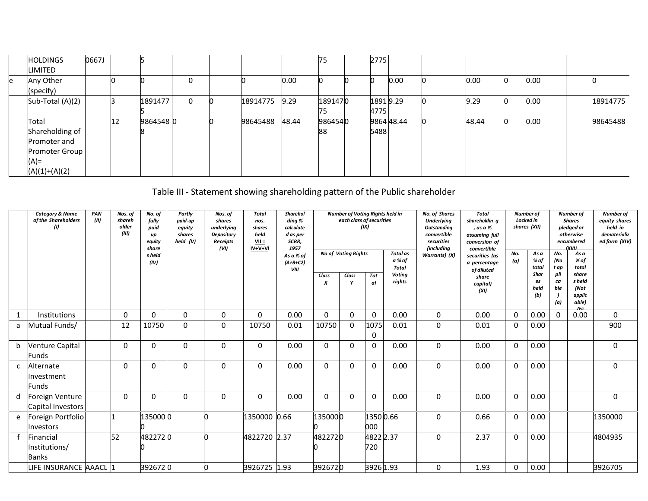| <b>HOLDINGS</b>  | 0667J |    |          |   |          |       | 75      | 2775     |            |       |      |  |          |
|------------------|-------|----|----------|---|----------|-------|---------|----------|------------|-------|------|--|----------|
| LIMITED          |       |    |          |   |          |       |         |          |            |       |      |  |          |
| Any Other        |       |    |          | 0 |          | 0.00  |         |          | 0.00       | 0.00  | 0.00 |  |          |
| (specify)        |       |    |          |   |          |       |         |          |            |       |      |  |          |
| Sub-Total (A)(2) |       |    | 1891477  | 0 | 18914775 | 9.29  | 1891470 | 18919.29 |            | 9.29  | 0.00 |  | 18914775 |
|                  |       |    |          |   |          |       | 75      | 4775     |            |       |      |  |          |
| Total            |       | 12 | 98645480 |   | 98645488 | 48.44 | 9864540 |          | 9864 48.44 | 48.44 | 0.00 |  | 98645488 |
| Shareholding of  |       |    |          |   |          |       | 88      | 5488     |            |       |      |  |          |
| Promoter and     |       |    |          |   |          |       |         |          |            |       |      |  |          |
| Promoter Group   |       |    |          |   |          |       |         |          |            |       |      |  |          |
| $(A)$ =          |       |    |          |   |          |       |         |          |            |       |      |  |          |
| $(A)(1)+(A)(2)$  |       |    |          |   |          |       |         |          |            |       |      |  |          |

# Table III - Statement showing shareholding pattern of the Public shareholder

|              | <b>Category &amp; Name</b><br>of the Shareholders<br>(1) | PAN<br>(III) | Nos. of<br>shareh<br>older<br>(III) | No. of<br>fully<br>paid<br>up<br>equity<br>share<br>s held<br>(IV) | Partly<br>paid-up<br>equity<br>shares<br>held (V) | Nos. of<br>shares<br>underlying<br><b>Depository</b><br><b>Receipts</b><br>(VI) | <b>Total</b><br>nos.<br>shares<br>held<br>$VII =$<br>IV+V+VI | Sharehol<br>ding %<br>calculate<br>d as per<br>SCRR,<br>1957<br>As a % of<br>$(A+B+C2)$<br>VIII |            | <b>Number of Voting Rights held in</b><br>each class of securities<br><b>No of Voting Rights</b> | (IX)             | <b>Total</b> as<br>a % of<br><b>Total</b> | <b>No. of Shares</b><br><b>Underlying</b><br><b>Outstanding</b><br>convertible<br>securities<br><i>(including</i><br>Warrants) (X) | <b>Total</b><br>shareholdin q<br>, as a %<br>assuming full<br>conversion of<br>convertible<br>securities (as<br>a percentage<br>of diluted | Number of<br>No.<br>(a) | Locked in<br>shares (XII)<br>As a<br>% of<br>total | No.<br>(No<br>t ap      | <b>Number of</b><br><b>Shares</b><br>pledged or<br>otherwise<br>encumbered<br>(YIII)<br>As a<br>% of<br>total | Number of<br>equity shares<br>held in<br>dematerializ<br>ed form (XIV) |
|--------------|----------------------------------------------------------|--------------|-------------------------------------|--------------------------------------------------------------------|---------------------------------------------------|---------------------------------------------------------------------------------|--------------------------------------------------------------|-------------------------------------------------------------------------------------------------|------------|--------------------------------------------------------------------------------------------------|------------------|-------------------------------------------|------------------------------------------------------------------------------------------------------------------------------------|--------------------------------------------------------------------------------------------------------------------------------------------|-------------------------|----------------------------------------------------|-------------------------|---------------------------------------------------------------------------------------------------------------|------------------------------------------------------------------------|
|              |                                                          |              |                                     |                                                                    |                                                   |                                                                                 |                                                              |                                                                                                 | Class<br>X | Class<br>Y                                                                                       | Tot<br>αl        | <b>Voting</b><br>rights                   |                                                                                                                                    | share<br>capital)<br>(XI)                                                                                                                  |                         | Shar<br>es<br>held<br>(b)                          | pli<br>ca<br>ble<br>(a) | share<br>s held<br>(Not<br>applic<br>able)                                                                    |                                                                        |
| $\mathbf{1}$ | Institutions                                             |              | $\Omega$                            | $\Omega$                                                           | $\Omega$                                          | 0                                                                               | $\Omega$                                                     | 0.00                                                                                            | $\Omega$   | 0                                                                                                | $\mathbf 0$      | 0.00                                      | 0                                                                                                                                  | 0.00                                                                                                                                       | $\mathbf{0}$            | 0.00                                               | $\Omega$                | 0.00                                                                                                          | 0                                                                      |
| a            | Mutual Funds/                                            |              | 12                                  | 10750                                                              | $\Omega$                                          | $\mathbf 0$                                                                     | 10750                                                        | 0.01                                                                                            | 10750      | $\Omega$                                                                                         | 1075<br>0        | 0.01                                      | $\Omega$                                                                                                                           | 0.01                                                                                                                                       | $\mathbf 0$             | 0.00                                               |                         |                                                                                                               | 900                                                                    |
| b            | Venture Capital<br>Funds                                 |              | $\Omega$                            | $\Omega$                                                           | $\Omega$                                          | $\mathbf 0$                                                                     | $\Omega$                                                     | 0.00                                                                                            | $\Omega$   | $\Omega$                                                                                         | $\Omega$         | 0.00                                      | $\Omega$                                                                                                                           | 0.00                                                                                                                                       | $\mathbf 0$             | 0.00                                               |                         |                                                                                                               | $\mathbf 0$                                                            |
| C            | <b>\Iternate</b><br>Investment<br>Funds                  |              | $\Omega$                            | $\Omega$                                                           | $\Omega$                                          | $\mathbf 0$                                                                     | $\Omega$                                                     | 0.00                                                                                            | $\Omega$   | $\Omega$                                                                                         | $\Omega$         | 0.00                                      | $\Omega$                                                                                                                           | 0.00                                                                                                                                       | $\mathbf 0$             | 0.00                                               |                         |                                                                                                               | $\mathbf 0$                                                            |
| d            | Foreign Venture<br>Capital Investors                     |              | $\Omega$                            | $\Omega$                                                           | $\Omega$                                          | $\mathbf 0$                                                                     | $\Omega$                                                     | 0.00                                                                                            | $\Omega$   | $\Omega$                                                                                         | $\Omega$         | 0.00                                      | $\Omega$                                                                                                                           | 0.00                                                                                                                                       | $\mathbf 0$             | 0.00                                               |                         |                                                                                                               | $\mathbf 0$                                                            |
| e            | Foreign Portfolio<br>Investors                           |              |                                     | 1350000                                                            |                                                   |                                                                                 | 1350000 0.66                                                 |                                                                                                 | 1350000    |                                                                                                  | 1350 0.66<br>000 |                                           | $\Omega$                                                                                                                           | 0.66                                                                                                                                       | $\Omega$                | 0.00                                               |                         |                                                                                                               | 1350000                                                                |
|              | inancial <sup>:</sup><br>Institutions/<br><b>Banks</b>   |              | 52                                  | 4822720                                                            |                                                   |                                                                                 | 4822720 2.37                                                 |                                                                                                 | 4822720    |                                                                                                  | 4822 2.37<br>720 |                                           | $\Omega$                                                                                                                           | 2.37                                                                                                                                       | $\mathbf 0$             | 0.00                                               |                         |                                                                                                               | 4804935                                                                |
|              | IFE INSURANCE AAACL 1                                    |              |                                     | 3926720                                                            |                                                   |                                                                                 | 3926725 1.93                                                 |                                                                                                 | 3926720    |                                                                                                  | 3926 1.93        |                                           | $\Omega$                                                                                                                           | 1.93                                                                                                                                       | $\mathbf 0$             | 0.00                                               |                         |                                                                                                               | 3926705                                                                |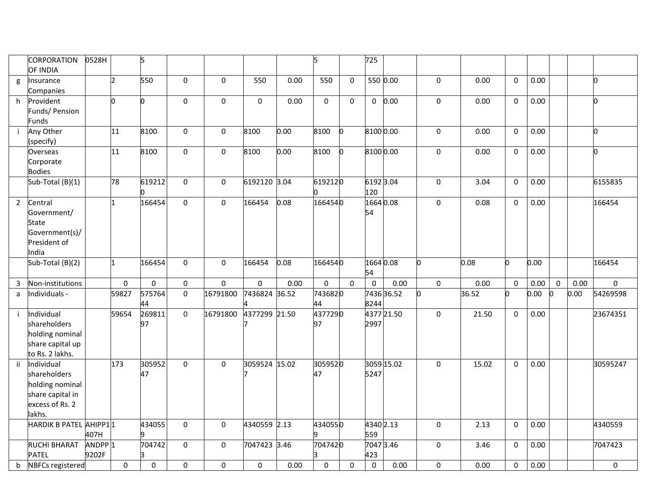|                | <b>CORPORATION</b><br>OF INDIA | 0528H              |                 | 5           |              |              |               |      | 5           |             | 725         |            |              |       |             |      |             |      |             |
|----------------|--------------------------------|--------------------|-----------------|-------------|--------------|--------------|---------------|------|-------------|-------------|-------------|------------|--------------|-------|-------------|------|-------------|------|-------------|
|                |                                |                    |                 |             | $\Omega$     |              |               |      |             |             |             |            |              |       |             |      |             |      | n           |
| g              | Insurance<br>Companies         |                    | $\overline{2}$  | 550         |              | $\Omega$     | 550           | 0.00 | 550         | $\Omega$    | 550 0.00    |            | $\Omega$     | 0.00  | $\Omega$    | 0.00 |             |      |             |
| h.             | Provident                      |                    | b               | 0           | $\mathbf 0$  | $\mathbf 0$  | $\Omega$      | 0.00 | $\Omega$    | $\Omega$    | $\mathbf 0$ | 0.00       | $\mathbf{0}$ | 0.00  | $\mathbf 0$ | 0.00 |             |      | n.          |
|                | Funds/ Pension                 |                    |                 |             |              |              |               |      |             |             |             |            |              |       |             |      |             |      |             |
|                | Funds                          |                    |                 |             |              |              |               |      |             |             |             |            |              |       |             |      |             |      |             |
|                | Any Other                      |                    | $\overline{11}$ | 8100        | $\Omega$     | 0            | 8100          | 0.00 | 8100        | n           | 81000.00    |            | $\Omega$     | 0.00  | $\mathbf 0$ | 0.00 |             |      | l0          |
|                | specify)                       |                    |                 |             |              |              |               |      |             |             |             |            |              |       |             |      |             |      |             |
|                | Overseas                       |                    | 11              | 8100        | $\Omega$     | 0            | 8100          | 0.00 | 8100        |             | 8100 0.00   |            | $\Omega$     | 0.00  | $\mathbf 0$ | 0.00 |             |      | n           |
|                | Corporate                      |                    |                 |             |              |              |               |      |             |             |             |            |              |       |             |      |             |      |             |
|                | <b>Bodies</b>                  |                    |                 |             |              |              |               |      |             |             |             |            |              |       |             |      |             |      |             |
|                | Sub-Total (B)(1)               |                    | $\overline{78}$ | 619212      | $\mathbf{0}$ | $\mathbf{0}$ | 6192120 3.04  |      | 6192120     |             | 61923.04    |            | $\Omega$     | 3.04  | $\mathbf 0$ | 0.00 |             |      | 6155835     |
|                |                                |                    |                 |             |              |              |               |      |             |             | 120         |            |              |       |             |      |             |      |             |
| $\overline{2}$ | Central                        |                    | 1               | 166454      | $\Omega$     | $\mathbf 0$  | 166454        | 0.08 | 1664540     |             | 16640.08    |            | $\mathbf{0}$ | 0.08  | $\mathbf 0$ | 0.00 |             |      | 166454      |
|                | Government/                    |                    |                 |             |              |              |               |      |             |             | 54          |            |              |       |             |      |             |      |             |
|                | State                          |                    |                 |             |              |              |               |      |             |             |             |            |              |       |             |      |             |      |             |
|                | Government(s)/                 |                    |                 |             |              |              |               |      |             |             |             |            |              |       |             |      |             |      |             |
|                | President of                   |                    |                 |             |              |              |               |      |             |             |             |            |              |       |             |      |             |      |             |
|                | India                          |                    |                 |             |              |              |               |      |             |             |             |            |              |       |             |      |             |      |             |
|                | Sub-Total (B)(2)               |                    | $\mathbf{1}$    | 166454      | $\mathbf 0$  | $\mathbf 0$  | 166454        | 0.08 | 1664540     |             | 1664 0.08   |            | 'n.          | 0.08  | lo.         | 0.00 |             |      | 166454      |
|                |                                |                    |                 |             |              |              |               |      |             |             | 54          |            |              |       |             |      |             |      |             |
| $\mathbf{3}$   | Non-institutions               |                    | $\mathbf 0$     | $\mathbf 0$ | 0            | $\mathbf 0$  | 0             | 0.00 | $\mathbf 0$ | $\mathbf 0$ | $\mathbf 0$ | 0.00       | $\mathbf 0$  | 0.00  | $\mathbf 0$ | 0.00 | $\mathbf 0$ | 0.00 | $\mathbf 0$ |
| a              | Individuals -                  |                    | 59827           | 575764      | $\mathbf 0$  | 16791800     | 7436824 36.52 |      | 7436820     |             |             | 743636.52  |              | 36.52 | o           | 0.00 | O.          | 0.00 | 54269598    |
|                |                                |                    |                 | 44          |              |              |               |      | 44          |             | 8244        |            |              |       |             |      |             |      |             |
|                | Individual                     |                    | 59654           | 269811      | $\mathbf 0$  | 16791800     | 4377299 21.50 |      | 4377290     |             |             | 4377 21.50 | $\mathbf 0$  | 21.50 | $\mathbf 0$ | 0.00 |             |      | 23674351    |
|                | shareholders                   |                    |                 | 97          |              |              |               |      | 97          |             | 2997        |            |              |       |             |      |             |      |             |
|                | holding nominal                |                    |                 |             |              |              |               |      |             |             |             |            |              |       |             |      |             |      |             |
|                | share capital up               |                    |                 |             |              |              |               |      |             |             |             |            |              |       |             |      |             |      |             |
|                | to Rs. 2 lakhs.                |                    |                 |             |              |              |               |      |             |             |             |            |              |       |             |      |             |      |             |
| ii.            | Individual                     |                    | 173             | 305952      | $\mathbf 0$  | 0            | 3059524 15.02 |      | 3059520     |             |             | 3059 15.02 | $\mathbf 0$  | 15.02 | $\pmb{0}$   | 0.00 |             |      | 30595247    |
|                | shareholders                   |                    |                 | 47          |              |              |               |      | 47          |             | 5247        |            |              |       |             |      |             |      |             |
|                | holding nominal                |                    |                 |             |              |              |               |      |             |             |             |            |              |       |             |      |             |      |             |
|                | share capital in               |                    |                 |             |              |              |               |      |             |             |             |            |              |       |             |      |             |      |             |
|                | excess of Rs. 2                |                    |                 |             |              |              |               |      |             |             |             |            |              |       |             |      |             |      |             |
|                | lakhs.                         |                    |                 |             |              |              |               |      |             |             |             |            |              |       |             |      |             |      |             |
|                | HARDIK B PATEL AHIPP11         |                    |                 | 434055      | $\Omega$     | $\mathbf 0$  | 4340559 2.13  |      | 4340550     |             | 4340 2.13   |            | $\Omega$     | 2.13  | 0           | 0.00 |             |      | 4340559     |
|                |                                | 407H               |                 |             |              |              |               |      |             |             | 559         |            |              |       |             |      |             |      |             |
|                | <b>RUCHI BHARAT</b>            | ANDPP <sub>1</sub> |                 | 704742      | $\Omega$     | $\mathbf 0$  | 7047423 3.46  |      | 7047420     |             | 7047 3.46   |            | 0            | 3.46  | $\mathbf 0$ | 0.00 |             |      | 7047423     |
|                | <b>PATEL</b>                   | 9202F              |                 |             |              |              |               |      |             |             | 423         |            |              |       |             |      |             |      |             |
| b              | <b>NBFCs registered</b>        |                    | $\Omega$        | 0           | 0            | $\mathbf{0}$ | 0             | 0.00 | $\mathbf 0$ | $\mathbf 0$ | $\mathbf 0$ | 0.00       | 0            | 0.00  | $\mathbf 0$ | 0.00 |             |      | 0           |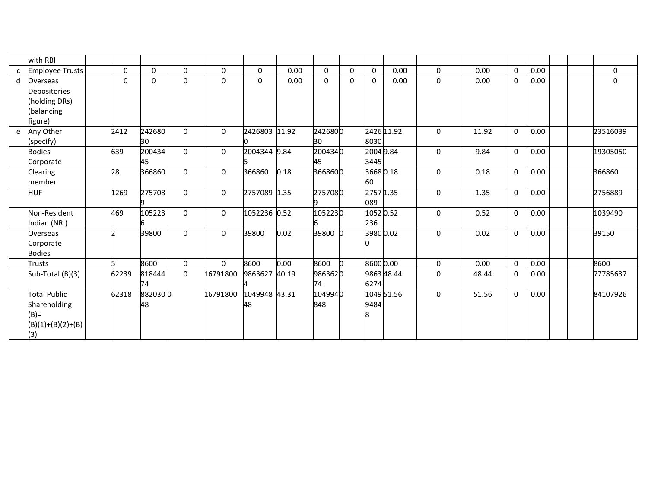|              | with RBI                                                                     |          |               |          |             |                     |       |                |             |                    |            |          |       |             |      |             |
|--------------|------------------------------------------------------------------------------|----------|---------------|----------|-------------|---------------------|-------|----------------|-------------|--------------------|------------|----------|-------|-------------|------|-------------|
| $\mathsf{C}$ | <b>Employee Trusts</b>                                                       | $\Omega$ | 0             | $\Omega$ | 0           | $\Omega$            | 0.00  | $\Omega$       | $\mathbf 0$ | 0                  | 0.00       | 0        | 0.00  | $\mathbf 0$ | 0.00 | 0           |
| d            | Overseas<br>Depositories<br>(holding DRs)<br>(balancing<br>figure)           | $\Omega$ | $\Omega$      | $\Omega$ | $\Omega$    | $\Omega$            | 0.00  | $\Omega$       | $\Omega$    | $\Omega$           | 0.00       | $\Omega$ | 0.00  | $\mathbf 0$ | 0.00 | $\mathbf 0$ |
| e            | Any Other<br>(specify)                                                       | 2412     | 242680<br>30  | $\Omega$ | $\Omega$    | 2426803 11.92       |       | 2426800<br>30  |             | 8030               | 2426 11.92 | $\Omega$ | 11.92 | $\mathbf 0$ | 0.00 | 23516039    |
|              | <b>Bodies</b><br>Corporate                                                   | 639      | 200434<br>45  | $\Omega$ | $\mathbf 0$ | 2004344 9.84        |       | 2004340<br>45  |             | 20049.84<br>3445   |            | 0        | 9.84  | 0           | 0.00 | 19305050    |
|              | <b>Clearing</b><br>member                                                    | 28       | 366860        | $\Omega$ | 0           | 366860              | 0.18  | 3668600        |             | 36680.18<br>60     |            | $\Omega$ | 0.18  | 0           | 0.00 | 366860      |
|              | <b>HUF</b>                                                                   | 1269     | 275708        | $\Omega$ | 0           | 2757089 1.35        |       | 2757080        |             | 2757 1.35<br>089   |            | 0        | 1.35  | 0           | 0.00 | 2756889     |
|              | Non-Resident<br>Indian (NRI)                                                 | 469      | 105223        | $\Omega$ | $\pmb{0}$   | 1052236 0.52        |       | 1052230        |             | 1052 0.52<br>236   |            | 0        | 0.52  | $\mathbf 0$ | 0.00 | 1039490     |
|              | Overseas<br>Corporate<br><b>Bodies</b>                                       | h.       | 39800         | $\Omega$ | 0           | 39800               | 0.02  | 39800          |             | 3980 0.02          |            | $\Omega$ | 0.02  | 0           | 0.00 | 39150       |
|              | <b>Trusts</b>                                                                |          | 8600          | $\Omega$ | $\Omega$    | 8600                | 0.00  | 8600           |             | 8600 0.00          |            | $\Omega$ | 0.00  | $\Omega$    | 0.00 | 8600        |
|              | Sub-Total (B)(3)                                                             | 62239    | 818444<br>74  | $\Omega$ | 16791800    | 9863627             | 40.19 | 9863620<br>74  |             | 9863 48.44<br>6274 |            | $\Omega$ | 48.44 | $\mathbf 0$ | 0.00 | 77785637    |
|              | <b>Total Public</b><br>Shareholding<br>$(B)$ =<br>$(B)(1)+(B)(2)+(B)$<br>(3) | 62318    | 8820300<br>48 |          | 16791800    | 1049948 43.31<br>48 |       | 1049940<br>848 |             | 9484<br>8          | 1049 51.56 | 0        | 51.56 | $\mathbf 0$ | 0.00 | 84107926    |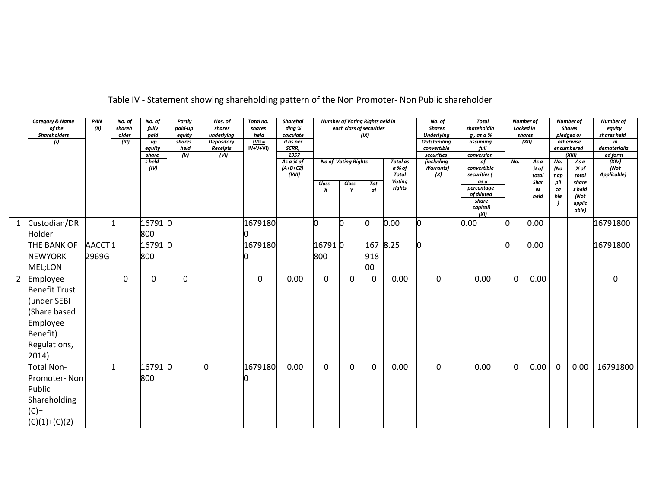|                | <b>Category &amp; Name</b> | PAN                | No. of | No. of          | Partly                            | Nos. of          | Total no.  | <b>Sharehol</b> |                  | Number of Voting Rights held in |              |                 | No. of                    | <b>Total</b>       | Number of   |       |             | Number of            | Number of               |
|----------------|----------------------------|--------------------|--------|-----------------|-----------------------------------|------------------|------------|-----------------|------------------|---------------------------------|--------------|-----------------|---------------------------|--------------------|-------------|-------|-------------|----------------------|-------------------------|
|                | of the                     | $\sqrt{m}$         | shareh | fully           | paid-up                           | shares           | shares     | ding %          |                  | each class of securities        |              |                 | <b>Shares</b>             | shareholdin        | Locked in   |       |             | <b>Shares</b>        | equity                  |
|                | <b>Shareholders</b>        |                    | older  | paid            | equity                            | underlying       | held       | calculate       |                  |                                 | (IX)         |                 | <b>Underlying</b>         | g , as a %         | shares      |       |             | pledged or           | shares held             |
|                | (I)                        |                    | (III)  | up              | shares                            | Depository       | $(VII =$   | d as per        |                  |                                 |              |                 | <b>Outstanding</b>        | assuming           |             | (XII) |             | otherwise            | in                      |
|                |                            |                    |        | equity<br>share | held<br>$\overline{(\mathsf{V})}$ | Receipts<br>(VI) | $IV+V+VI)$ | SCRR,<br>1957   |                  |                                 |              |                 | convertible<br>securities | full<br>conversion |             |       |             | encumbered<br>(XIII) | dematerializ<br>ed form |
|                |                            |                    |        | s held          |                                   |                  |            | As a % of       |                  | <b>No of Voting Rights</b>      |              | <b>Total</b> as | (including                | of                 | No.         | As a  | No.         | As a                 | (XIV)                   |
|                |                            |                    |        | (IV)            |                                   |                  |            | $(A+B+C2)$      |                  |                                 |              | a % of          | <b>Warrants</b> )         | convertible        |             | % of  | (No         | % of                 | $\sqrt{N}$              |
|                |                            |                    |        |                 |                                   |                  |            | (VIII)          |                  |                                 |              | Total           | (X)                       | securities         |             | total | t ap        | total                | Applicable)             |
|                |                            |                    |        |                 |                                   |                  |            |                 | Class            | Class                           | Tot          | <b>Voting</b>   |                           | as a               |             | Shar  | pli         | share                |                         |
|                |                            |                    |        |                 |                                   |                  |            |                 | $\boldsymbol{x}$ | Y                               | al           | rights          |                           | percentage         |             | es    | ca          | s held               |                         |
|                |                            |                    |        |                 |                                   |                  |            |                 |                  |                                 |              |                 |                           | of diluted         |             | held  | ble         | (Not                 |                         |
|                |                            |                    |        |                 |                                   |                  |            |                 |                  |                                 |              |                 |                           | share<br>capital)  |             |       |             | applic               |                         |
|                |                            |                    |        |                 |                                   |                  |            |                 |                  |                                 |              |                 |                           | (XI)               |             |       |             | able)                |                         |
| $\mathbf{1}$   | Custodian/DR               |                    |        | 16791 0         |                                   |                  | 1679180    |                 | n                |                                 |              | 0.00            |                           | 0.00               | 0           | 0.00  |             |                      | 16791800                |
|                |                            |                    |        |                 |                                   |                  |            |                 |                  |                                 |              |                 |                           |                    |             |       |             |                      |                         |
|                | Holder                     |                    |        | 800             |                                   |                  |            |                 |                  |                                 |              |                 |                           |                    |             |       |             |                      |                         |
|                | THE BANK OF                | AACCT <sub>1</sub> |        | 16791 0         |                                   |                  | 1679180    |                 | 167910           |                                 | 167          | 8.25            | n                         |                    | Ю           | 0.00  |             |                      | 16791800                |
|                | <b>NEWYORK</b>             | 2969G              |        | 800             |                                   |                  |            |                 | 800              |                                 | 918          |                 |                           |                    |             |       |             |                      |                         |
|                | MEL;LON                    |                    |        |                 |                                   |                  |            |                 |                  |                                 | 00           |                 |                           |                    |             |       |             |                      |                         |
| $\overline{2}$ | Employee                   |                    | 0      | $\Omega$        | 0                                 |                  | $\Omega$   | 0.00            | $\Omega$         | $\Omega$                        | $\mathbf{0}$ | 0.00            | $\Omega$                  | 0.00               | $\mathbf 0$ | 0.00  |             |                      | 0                       |
|                | <b>Benefit Trust</b>       |                    |        |                 |                                   |                  |            |                 |                  |                                 |              |                 |                           |                    |             |       |             |                      |                         |
|                | (under SEBI                |                    |        |                 |                                   |                  |            |                 |                  |                                 |              |                 |                           |                    |             |       |             |                      |                         |
|                | (Share based               |                    |        |                 |                                   |                  |            |                 |                  |                                 |              |                 |                           |                    |             |       |             |                      |                         |
|                | Employee                   |                    |        |                 |                                   |                  |            |                 |                  |                                 |              |                 |                           |                    |             |       |             |                      |                         |
|                | Benefit)                   |                    |        |                 |                                   |                  |            |                 |                  |                                 |              |                 |                           |                    |             |       |             |                      |                         |
|                | Regulations,               |                    |        |                 |                                   |                  |            |                 |                  |                                 |              |                 |                           |                    |             |       |             |                      |                         |
|                | 2014)                      |                    |        |                 |                                   |                  |            |                 |                  |                                 |              |                 |                           |                    |             |       |             |                      |                         |
|                | <b>Total Non-</b>          |                    |        | 16791 0         |                                   | n                | 1679180    | 0.00            | 0                | $\Omega$                        | 0            | 0.00            | $\mathbf 0$               | 0.00               | $\mathbf 0$ | 0.00  | $\mathbf 0$ | 0.00                 | 16791800                |
|                | Promoter-Non               |                    |        | 800             |                                   |                  |            |                 |                  |                                 |              |                 |                           |                    |             |       |             |                      |                         |
|                | Public                     |                    |        |                 |                                   |                  |            |                 |                  |                                 |              |                 |                           |                    |             |       |             |                      |                         |
|                | Shareholding               |                    |        |                 |                                   |                  |            |                 |                  |                                 |              |                 |                           |                    |             |       |             |                      |                         |
|                | $(C)$ =                    |                    |        |                 |                                   |                  |            |                 |                  |                                 |              |                 |                           |                    |             |       |             |                      |                         |
|                |                            |                    |        |                 |                                   |                  |            |                 |                  |                                 |              |                 |                           |                    |             |       |             |                      |                         |
|                | $(C)(1)+(C)(2)$            |                    |        |                 |                                   |                  |            |                 |                  |                                 |              |                 |                           |                    |             |       |             |                      |                         |

## Table IV - Statement showing shareholding pattern of the Non Promoter- Non Public shareholder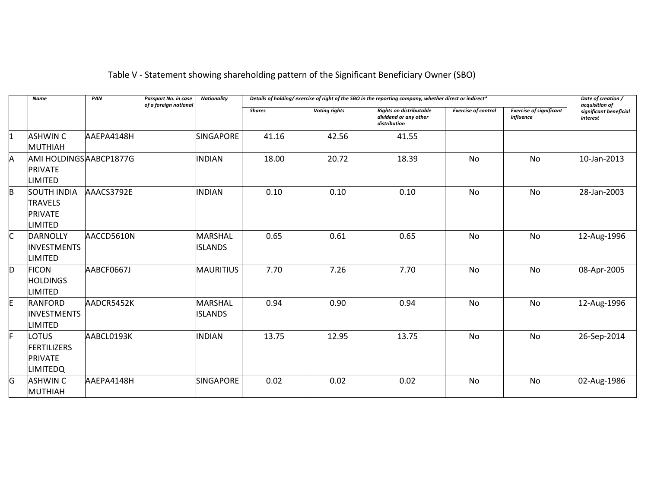# Table V - Statement showing shareholding pattern of the Significant Beneficiary Owner (SBO)

|          | Name                                                                     | PAN        | Passport No. in case<br>of a foreign national | <b>Nationality</b>               |               |                      | Details of holding/exercise of right of the SBO in the reporting company, whether direct or indirect* |                            |                                             | Date of creation /<br>acquisition of |
|----------|--------------------------------------------------------------------------|------------|-----------------------------------------------|----------------------------------|---------------|----------------------|-------------------------------------------------------------------------------------------------------|----------------------------|---------------------------------------------|--------------------------------------|
|          |                                                                          |            |                                               |                                  | <b>Shares</b> | <b>Voting rights</b> | <b>Rights on distributable</b><br>dividend or any other<br>distribution                               | <b>Exercise of control</b> | <b>Exercise of significant</b><br>influence | significant beneficial<br>interest   |
| 1        | <b>ASHWIN C</b><br><b>MUTHIAH</b>                                        | AAEPA4148H |                                               | <b>SINGAPORE</b>                 | 41.16         | 42.56                | 41.55                                                                                                 |                            |                                             |                                      |
| A        | AMI HOLDINGS ABCP1877G<br><b>PRIVATE</b><br><b>LIMITED</b>               |            |                                               | <b>INDIAN</b>                    | 18.00         | 20.72                | 18.39                                                                                                 | <b>No</b>                  | No                                          | 10-Jan-2013                          |
| <b>B</b> | <b>SOUTH INDIA</b><br><b>TRAVELS</b><br><b>PRIVATE</b><br><b>LIMITED</b> | AAACS3792E |                                               | <b>INDIAN</b>                    | 0.10          | 0.10                 | 0.10                                                                                                  | <b>No</b>                  | <b>No</b>                                   | 28-Jan-2003                          |
| C        | <b>DARNOLLY</b><br><b>INVESTMENTS</b><br>LIMITED                         | AACCD5610N |                                               | <b>MARSHAL</b><br><b>ISLANDS</b> | 0.65          | 0.61                 | 0.65                                                                                                  | <b>No</b>                  | <b>No</b>                                   | 12-Aug-1996                          |
| D        | <b>FICON</b><br><b>HOLDINGS</b><br>LIMITED                               | AABCF0667J |                                               | <b>MAURITIUS</b>                 | 7.70          | 7.26                 | 7.70                                                                                                  | <b>No</b>                  | <b>No</b>                                   | 08-Apr-2005                          |
| E        | <b>RANFORD</b><br><b>INVESTMENTS</b><br><b>LIMITED</b>                   | AADCR5452K |                                               | <b>MARSHAL</b><br><b>ISLANDS</b> | 0.94          | 0.90                 | 0.94                                                                                                  | No                         | No                                          | 12-Aug-1996                          |
| IF.      | LOTUS<br><b>FERTILIZERS</b><br><b>PRIVATE</b><br><b>LIMITEDQ</b>         | AABCL0193K |                                               | <b>INDIAN</b>                    | 13.75         | 12.95                | 13.75                                                                                                 | <b>No</b>                  | <b>No</b>                                   | 26-Sep-2014                          |
| G        | <b>ASHWIN C</b><br><b>MUTHIAH</b>                                        | AAEPA4148H |                                               | <b>SINGAPORE</b>                 | 0.02          | 0.02                 | 0.02                                                                                                  | <b>No</b>                  | <b>No</b>                                   | 02-Aug-1986                          |